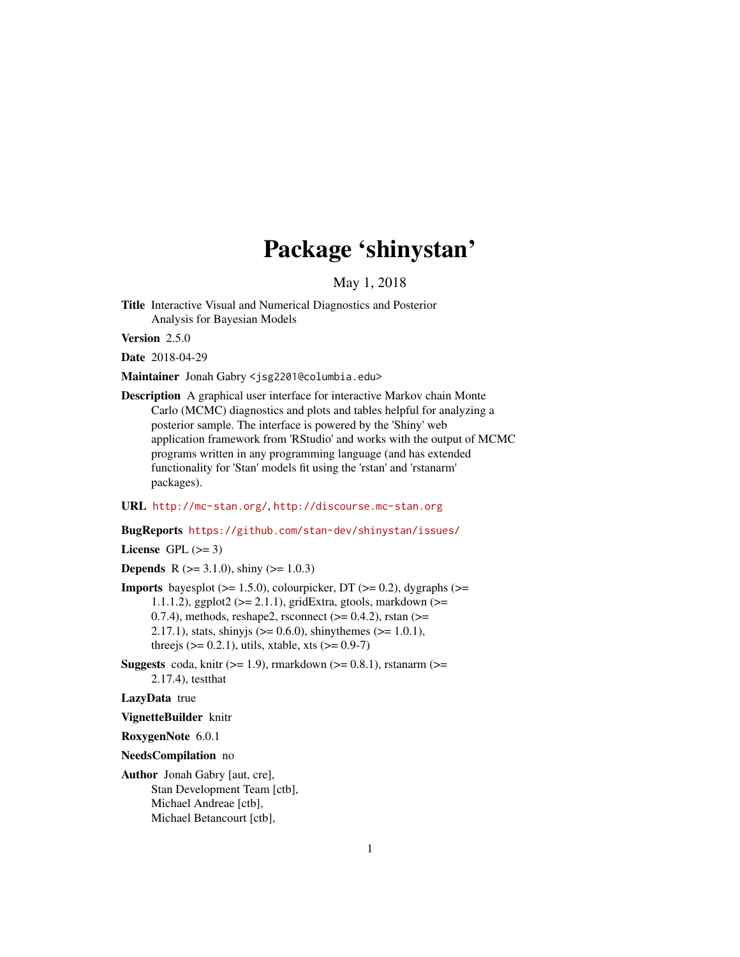# Package 'shinystan'

May 1, 2018

<span id="page-0-0"></span>Title Interactive Visual and Numerical Diagnostics and Posterior Analysis for Bayesian Models

Version 2.5.0

Date 2018-04-29

Maintainer Jonah Gabry <jsg2201@columbia.edu>

Description A graphical user interface for interactive Markov chain Monte Carlo (MCMC) diagnostics and plots and tables helpful for analyzing a posterior sample. The interface is powered by the 'Shiny' web application framework from 'RStudio' and works with the output of MCMC programs written in any programming language (and has extended functionality for 'Stan' models fit using the 'rstan' and 'rstanarm' packages).

# URL <http://mc-stan.org/>, <http://discourse.mc-stan.org>

BugReports <https://github.com/stan-dev/shinystan/issues/>

License GPL  $(>= 3)$ 

**Depends** R ( $> = 3.1.0$ ), shiny ( $> = 1.0.3$ )

- **Imports** bayesplot ( $> = 1.5.0$ ), colourpicker, DT ( $> = 0.2$ ), dygraphs ( $> =$ 1.1.1.2), ggplot2 ( $>= 2.1.1$ ), gridExtra, gtools, markdown ( $>=$ 0.7.4), methods, reshape2, rsconnect  $(>= 0.4.2)$ , rstan  $(>= 0.7.4)$ 2.17.1), stats, shinyjs ( $> = 0.6.0$ ), shinythemes ( $> = 1.0.1$ ), three is  $(>= 0.2.1)$ , utils, xtable, xts  $(>= 0.9-7)$
- Suggests coda, knitr ( $>= 1.9$ ), rmarkdown ( $>= 0.8.1$ ), rstanarm ( $>=$ 2.17.4), testthat

LazyData true

VignetteBuilder knitr

RoxygenNote 6.0.1

NeedsCompilation no

Author Jonah Gabry [aut, cre], Stan Development Team [ctb], Michael Andreae [ctb], Michael Betancourt [ctb],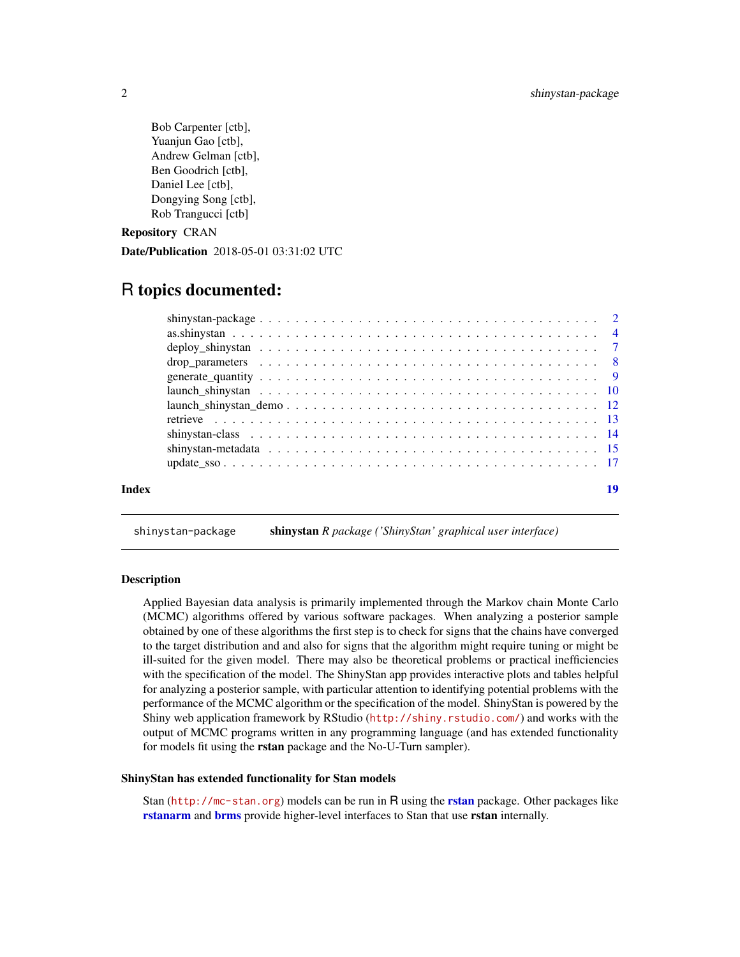<span id="page-1-0"></span>Bob Carpenter [ctb], Yuanjun Gao [ctb], Andrew Gelman [ctb], Ben Goodrich [ctb], Daniel Lee [ctb], Dongying Song [ctb], Rob Trangucci [ctb]

# Repository CRAN

Date/Publication 2018-05-01 03:31:02 UTC

# R topics documented:

| Index | 10 |
|-------|----|
|       |    |
|       |    |
|       |    |
|       |    |
|       |    |
|       |    |
|       |    |
|       |    |
|       |    |
|       |    |
|       |    |

shinystan-package shinystan *R package ('ShinyStan' graphical user interface)* 

#### **Description**

Applied Bayesian data analysis is primarily implemented through the Markov chain Monte Carlo (MCMC) algorithms offered by various software packages. When analyzing a posterior sample obtained by one of these algorithms the first step is to check for signs that the chains have converged to the target distribution and and also for signs that the algorithm might require tuning or might be ill-suited for the given model. There may also be theoretical problems or practical inefficiencies with the specification of the model. The ShinyStan app provides interactive plots and tables helpful for analyzing a posterior sample, with particular attention to identifying potential problems with the performance of the MCMC algorithm or the specification of the model. ShinyStan is powered by the Shiny web application framework by RStudio (<http://shiny.rstudio.com/>) and works with the output of MCMC programs written in any programming language (and has extended functionality for models fit using the rstan package and the No-U-Turn sampler).

#### ShinyStan has extended functionality for Stan models

Stan (<http://mc-stan.org>) models can be run in R using the [rstan](#page-0-0) package. Other packages like [rstanarm](#page-0-0) and [brms](#page-0-0) provide higher-level interfaces to Stan that use rstan internally.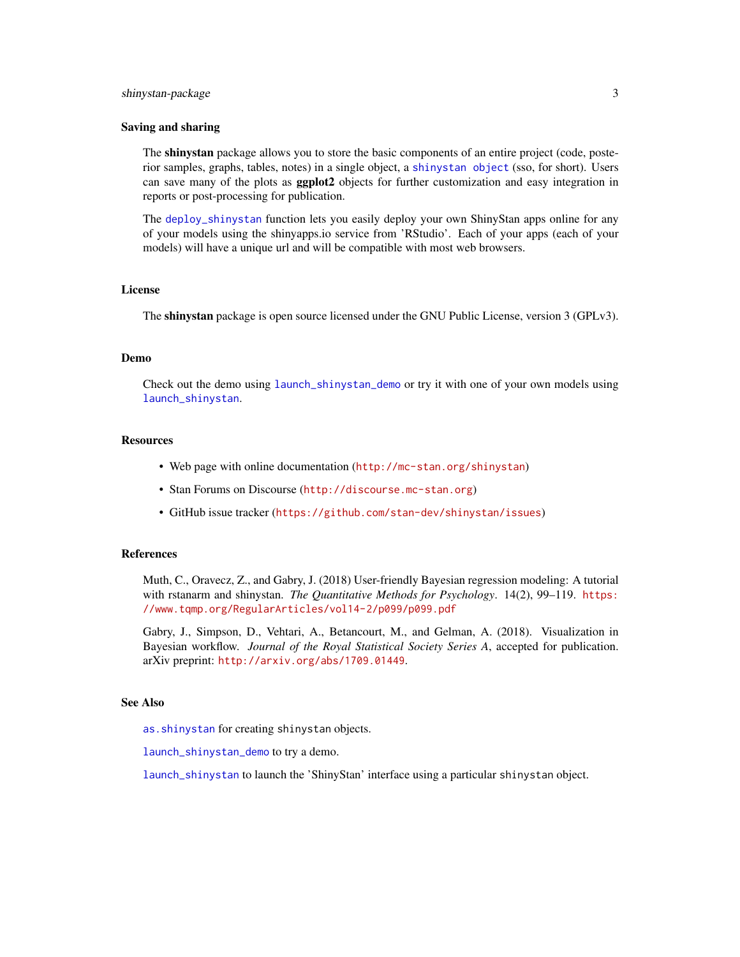# <span id="page-2-0"></span>shinystan-package 3

#### Saving and sharing

The shinystan package allows you to store the basic components of an entire project (code, posterior samples, graphs, tables, notes) in a single object, a [shinystan object](#page-3-1) (sso, for short). Users can save many of the plots as ggplot2 objects for further customization and easy integration in reports or post-processing for publication.

The [deploy\\_shinystan](#page-6-1) function lets you easily deploy your own ShinyStan apps online for any of your models using the shinyapps.io service from 'RStudio'. Each of your apps (each of your models) will have a unique url and will be compatible with most web browsers.

#### License

The shinystan package is open source licensed under the GNU Public License, version 3 (GPLv3).

#### Demo

Check out the demo using [launch\\_shinystan\\_demo](#page-11-1) or try it with one of your own models using [launch\\_shinystan](#page-9-1).

#### Resources

- Web page with online documentation (<http://mc-stan.org/shinystan>)
- Stan Forums on Discourse (<http://discourse.mc-stan.org>)
- GitHub issue tracker (<https://github.com/stan-dev/shinystan/issues>)

#### References

Muth, C., Oravecz, Z., and Gabry, J. (2018) User-friendly Bayesian regression modeling: A tutorial with rstanarm and shinystan. *The Quantitative Methods for Psychology*. 14(2), 99–119. [https:](https://www.tqmp.org/RegularArticles/vol14-2/p099/p099.pdf) [//www.tqmp.org/RegularArticles/vol14-2/p099/p099.pdf](https://www.tqmp.org/RegularArticles/vol14-2/p099/p099.pdf)

Gabry, J., Simpson, D., Vehtari, A., Betancourt, M., and Gelman, A. (2018). Visualization in Bayesian workflow. *Journal of the Royal Statistical Society Series A*, accepted for publication. arXiv preprint: <http://arxiv.org/abs/1709.01449>.

#### See Also

[as.shinystan](#page-3-1) for creating shinystan objects.

[launch\\_shinystan\\_demo](#page-11-1) to try a demo.

[launch\\_shinystan](#page-9-1) to launch the 'ShinyStan' interface using a particular shinystan object.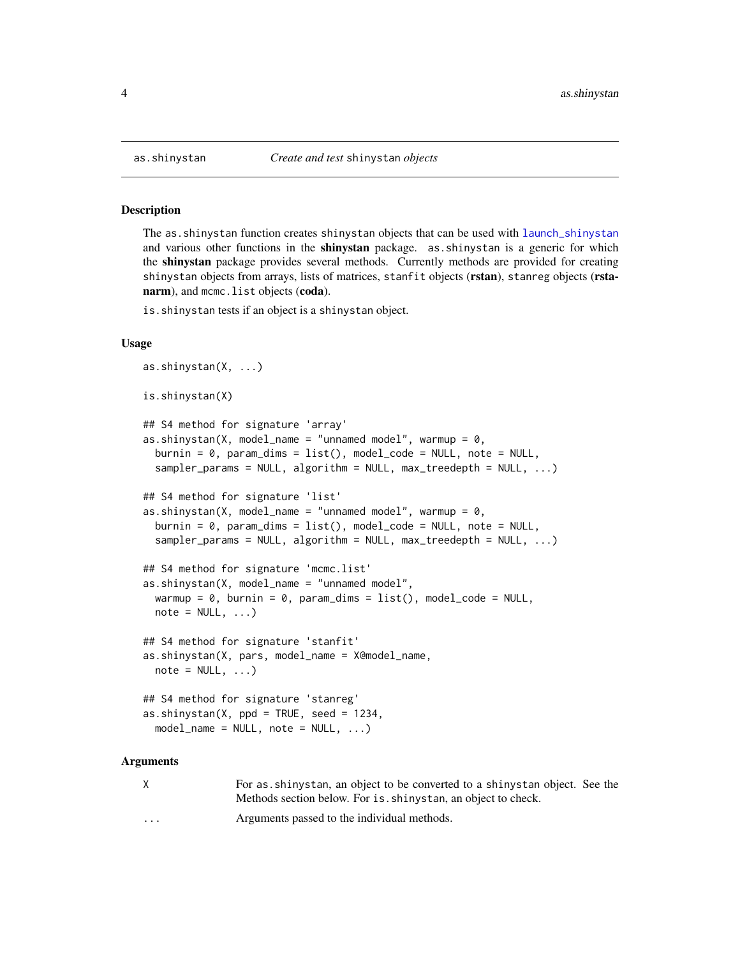<span id="page-3-1"></span><span id="page-3-0"></span>

#### **Description**

The as.shinystan function creates shinystan objects that can be used with [launch\\_shinystan](#page-9-1) and various other functions in the **shinystan** package. as shinystan is a generic for which the shinystan package provides several methods. Currently methods are provided for creating shinystan objects from arrays, lists of matrices, stanfit objects (rstan), stanreg objects (rstanarm), and mcmc. list objects (coda).

is.shinystan tests if an object is a shinystan object.

# Usage

```
as.shinystan(X, ...)
is.shinystan(X)
## S4 method for signature 'array'
as.shinystan(X, model_name = "unnamed model", warmup = 0,
 burnin = 0, param_dims = list(), model_code = NULL, note = NULL,
  sampler_params = NULL, algorithm = NULL, max_treedepth = NULL, ...)
## S4 method for signature 'list'
as.shinystan(X, model_name = "unnamed model", warmup = 0,
 burnin = 0, param_dims = list(), model_code = NULL, note = NULL,
  sampler_params = NULL, algorithm = NULL, max_treedepth = NULL, ...)
## S4 method for signature 'mcmc.list'
as.shinystan(X, model_name = "unnamed model",warmup = 0, burnin = 0, param_dims = list(), model_code = NULL,
 note = NULL, ...)## S4 method for signature 'stanfit'
as.shinystan(X, pars, model_name = X@model_name,
 note = NULL, ...)## S4 method for signature 'stanreg'
as.shinystan(X, ppd = TRUE, seed = 1234,
 model_name = NULL, note = NULL, ...)
```
#### Arguments

| For as shinystan, an object to be converted to a shinystan object. See the                                                                           |
|------------------------------------------------------------------------------------------------------------------------------------------------------|
| Methods section below. For is shinystan, an object to check.                                                                                         |
| A second contract of the state $\mathbf{1}$ , $\mathbf{1}$ , $\mathbf{1}$ , $\mathbf{1}$ , $\mathbf{1}$ , $\mathbf{1}$ , $\mathbf{1}$ , $\mathbf{1}$ |

... Arguments passed to the individual methods.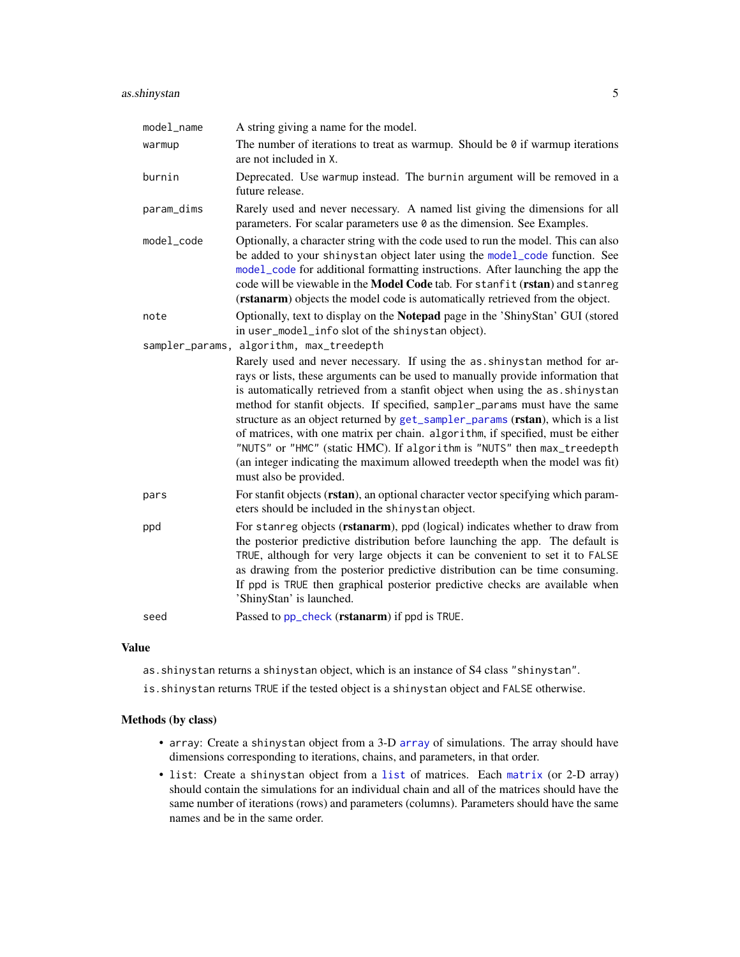<span id="page-4-0"></span>

| model_name | A string giving a name for the model.                                                                                                                                                                                                                                                                                                                                                                                                                                                                                                                                                                                                                                                   |
|------------|-----------------------------------------------------------------------------------------------------------------------------------------------------------------------------------------------------------------------------------------------------------------------------------------------------------------------------------------------------------------------------------------------------------------------------------------------------------------------------------------------------------------------------------------------------------------------------------------------------------------------------------------------------------------------------------------|
| warmup     | The number of iterations to treat as warmup. Should be $\theta$ if warmup iterations<br>are not included in X.                                                                                                                                                                                                                                                                                                                                                                                                                                                                                                                                                                          |
| burnin     | Deprecated. Use warmup instead. The burnin argument will be removed in a<br>future release.                                                                                                                                                                                                                                                                                                                                                                                                                                                                                                                                                                                             |
| param_dims | Rarely used and never necessary. A named list giving the dimensions for all<br>parameters. For scalar parameters use 0 as the dimension. See Examples.                                                                                                                                                                                                                                                                                                                                                                                                                                                                                                                                  |
| model_code | Optionally, a character string with the code used to run the model. This can also<br>be added to your shinystan object later using the model_code function. See<br>model_code for additional formatting instructions. After launching the app the<br>code will be viewable in the Model Code tab. For stanfit (rstan) and stanreg<br>(rstanarm) objects the model code is automatically retrieved from the object.                                                                                                                                                                                                                                                                      |
| note       | Optionally, text to display on the Notepad page in the 'ShinyStan' GUI (stored<br>in user_model_info slot of the shinystan object).                                                                                                                                                                                                                                                                                                                                                                                                                                                                                                                                                     |
|            | sampler_params, algorithm, max_treedepth                                                                                                                                                                                                                                                                                                                                                                                                                                                                                                                                                                                                                                                |
|            | Rarely used and never necessary. If using the as shinystan method for ar-<br>rays or lists, these arguments can be used to manually provide information that<br>is automatically retrieved from a stanfit object when using the as . shinystan<br>method for stanfit objects. If specified, sampler_params must have the same<br>structure as an object returned by get_sampler_params (rstan), which is a list<br>of matrices, with one matrix per chain. algorithm, if specified, must be either<br>"NUTS" or "HMC" (static HMC). If algorithm is "NUTS" then max_treedepth<br>(an integer indicating the maximum allowed treedepth when the model was fit)<br>must also be provided. |
| pars       | For stanfit objects (rstan), an optional character vector specifying which param-<br>eters should be included in the shinystan object.                                                                                                                                                                                                                                                                                                                                                                                                                                                                                                                                                  |
| ppd        | For stanreg objects (rstanarm), ppd (logical) indicates whether to draw from<br>the posterior predictive distribution before launching the app. The default is<br>TRUE, although for very large objects it can be convenient to set it to FALSE<br>as drawing from the posterior predictive distribution can be time consuming.<br>If ppd is TRUE then graphical posterior predictive checks are available when<br>'ShinyStan' is launched.                                                                                                                                                                                                                                             |
| seed       | Passed to pp_check (rstanarm) if ppd is TRUE.                                                                                                                                                                                                                                                                                                                                                                                                                                                                                                                                                                                                                                           |

#### Value

as.shinystan returns a shinystan object, which is an instance of S4 class "shinystan".

is.shinystan returns TRUE if the tested object is a shinystan object and FALSE otherwise.

### Methods (by class)

- array: Create a shinystan object from a 3-D [array](#page-0-0) of simulations. The array should have dimensions corresponding to iterations, chains, and parameters, in that order.
- list: Create a shinystan object from a [list](#page-0-0) of matrices. Each [matrix](#page-0-0) (or 2-D array) should contain the simulations for an individual chain and all of the matrices should have the same number of iterations (rows) and parameters (columns). Parameters should have the same names and be in the same order.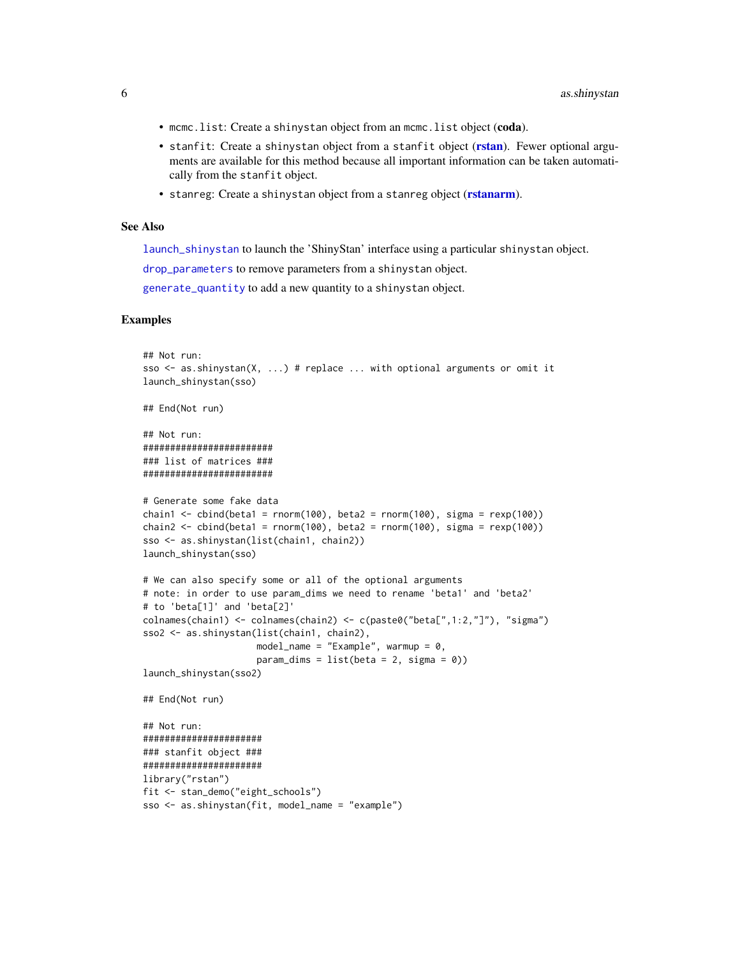- <span id="page-5-0"></span>• mcmc.list: Create a shinystan object from an mcmc.list object (coda).
- stanfit: Create a shinystan object from a stanfit object ([rstan](#page-0-0)). Fewer optional arguments are available for this method because all important information can be taken automatically from the stanfit object.
- stanreg: Create a shinystan object from a stanreg object ([rstanarm](#page-0-0)).

#### See Also

[launch\\_shinystan](#page-9-1) to launch the 'ShinyStan' interface using a particular shinystan object.

[drop\\_parameters](#page-7-1) to remove parameters from a shinystan object.

[generate\\_quantity](#page-8-1) to add a new quantity to a shinystan object.

#### Examples

```
## Not run:
sso \leq as.shinystan(X, ...) # replace ... with optional arguments or omit it
launch_shinystan(sso)
## End(Not run)
## Not run:
########################
### list of matrices ###
########################
# Generate some fake data
chain1 <- cbind(beta1 = rnorm(100), beta2 = rnorm(100), sigma = r \exp(100))
chain2 <- cbind(beta1 = rnorm(100), beta2 = rnorm(100), sigma = resp(100))
sso <- as.shinystan(list(chain1, chain2))
launch_shinystan(sso)
# We can also specify some or all of the optional arguments
# note: in order to use param_dims we need to rename 'beta1' and 'beta2'
# to 'beta[1]' and 'beta[2]'
colnames(chain1) <- colnames(chain2) <- c(paste0("beta[",1:2,"]"), "sigma")
sso2 <- as.shinystan(list(chain1, chain2),
                     model_name = "Example", warmup = 0,
                     param\_dims = list(beta = 2, sigma = 0)launch_shinystan(sso2)
## End(Not run)
## Not run:
######################
### stanfit object ###
######################
library("rstan")
fit <- stan_demo("eight_schools")
sso <- as.shinystan(fit, model_name = "example")
```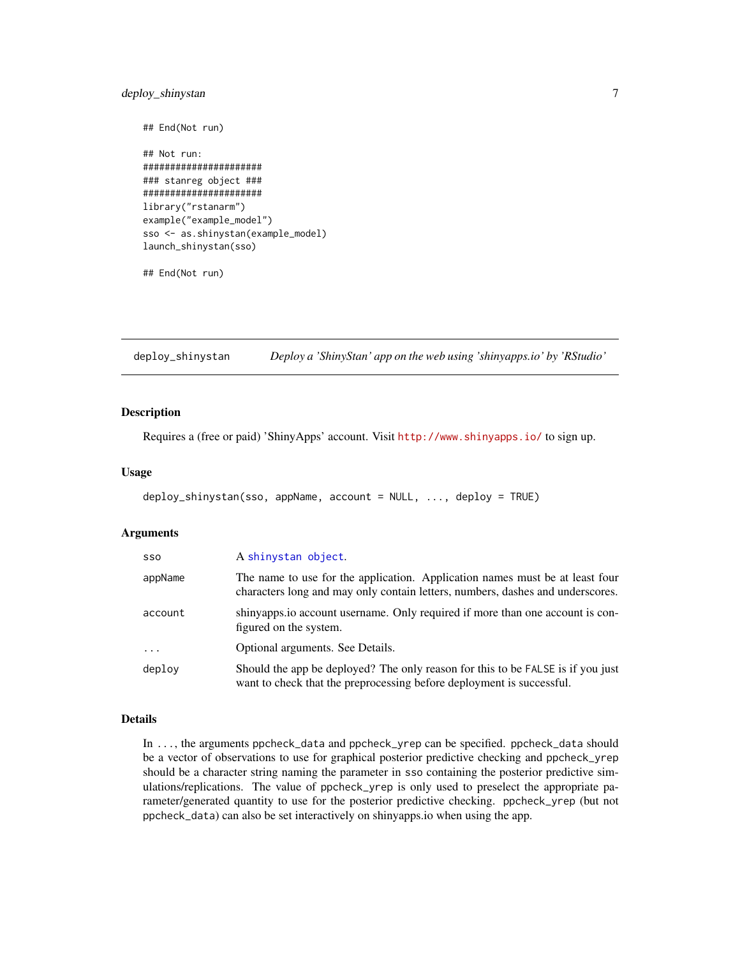# <span id="page-6-0"></span>deploy\_shinystan 7

```
## End(Not run)
## Not run:
######################
### stanreg object ###
######################
library("rstanarm")
example("example_model")
sso <- as.shinystan(example_model)
launch_shinystan(sso)
```
## End(Not run)

<span id="page-6-1"></span>deploy\_shinystan *Deploy a 'ShinyStan' app on the web using 'shinyapps.io' by 'RStudio'*

# Description

Requires a (free or paid) 'ShinyApps' account. Visit <http://www.shinyapps.io/> to sign up.

# Usage

```
deploy_shinystan(sso, appName, account = NULL, ..., deploy = TRUE)
```
#### Arguments

| sso      | A shinystan object.                                                                                                                                            |
|----------|----------------------------------------------------------------------------------------------------------------------------------------------------------------|
| appName  | The name to use for the application. Application names must be at least four<br>characters long and may only contain letters, numbers, dashes and underscores. |
| account  | shinyapps.io account username. Only required if more than one account is con-<br>figured on the system.                                                        |
| $\cdots$ | Optional arguments. See Details.                                                                                                                               |
| deplov   | Should the app be deployed? The only reason for this to be FALSE is if you just<br>want to check that the preprocessing before deployment is successful.       |

# Details

In ..., the arguments ppcheck\_data and ppcheck\_yrep can be specified. ppcheck\_data should be a vector of observations to use for graphical posterior predictive checking and ppcheck\_yrep should be a character string naming the parameter in sso containing the posterior predictive simulations/replications. The value of ppcheck\_yrep is only used to preselect the appropriate parameter/generated quantity to use for the posterior predictive checking. ppcheck\_yrep (but not ppcheck\_data) can also be set interactively on shinyapps.io when using the app.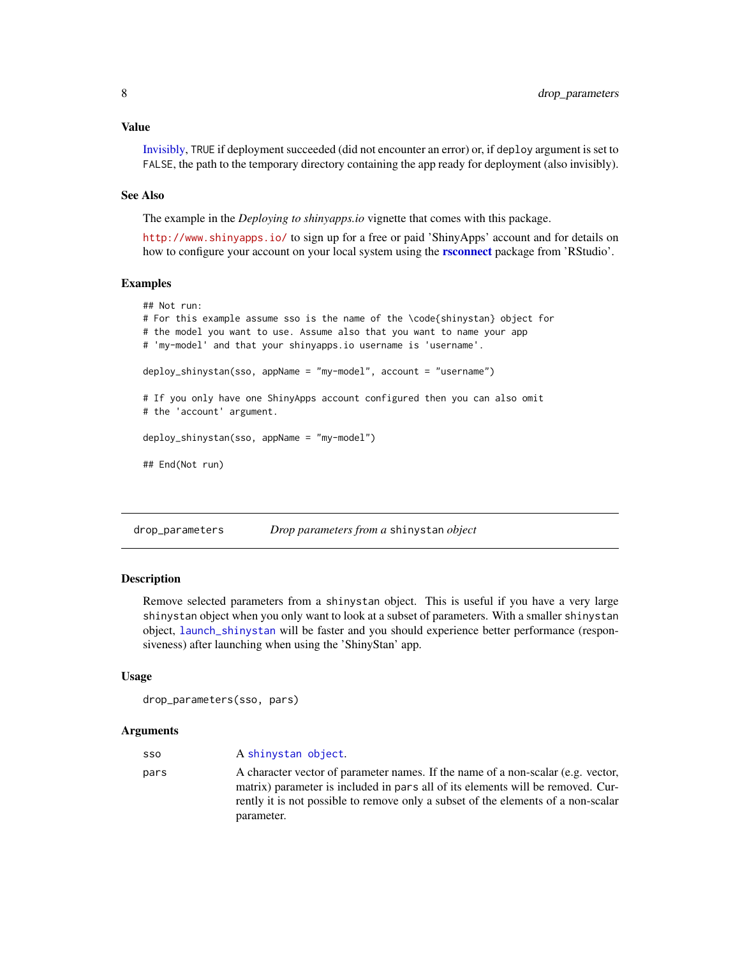#### <span id="page-7-0"></span>Value

[Invisibly,](#page-0-0) TRUE if deployment succeeded (did not encounter an error) or, if deploy argument is set to FALSE, the path to the temporary directory containing the app ready for deployment (also invisibly).

#### See Also

The example in the *Deploying to shinyapps.io* vignette that comes with this package.

<http://www.shinyapps.io/> to sign up for a free or paid 'ShinyApps' account and for details on how to configure your account on your local system using the **[rsconnect](#page-0-0)** package from 'RStudio'.

#### Examples

```
## Not run:
# For this example assume sso is the name of the \code{shinystan} object for
# the model you want to use. Assume also that you want to name your app
# 'my-model' and that your shinyapps.io username is 'username'.
deploy_shinystan(sso, appName = "my-model", account = "username")
# If you only have one ShinyApps account configured then you can also omit
# the 'account' argument.
deploy_shinystan(sso, appName = "my-model")
## End(Not run)
```
<span id="page-7-1"></span>drop\_parameters *Drop parameters from a* shinystan *object*

#### Description

Remove selected parameters from a shinystan object. This is useful if you have a very large shinystan object when you only want to look at a subset of parameters. With a smaller shinystan object, [launch\\_shinystan](#page-9-1) will be faster and you should experience better performance (responsiveness) after launching when using the 'ShinyStan' app.

## Usage

```
drop_parameters(sso, pars)
```
#### Arguments

| sso  | A shinystan object.                                                                                                                                                                                                                                                    |
|------|------------------------------------------------------------------------------------------------------------------------------------------------------------------------------------------------------------------------------------------------------------------------|
| pars | A character vector of parameter names. If the name of a non-scalar (e.g. vector,<br>matrix) parameter is included in pars all of its elements will be removed. Cur-<br>rently it is not possible to remove only a subset of the elements of a non-scalar<br>parameter. |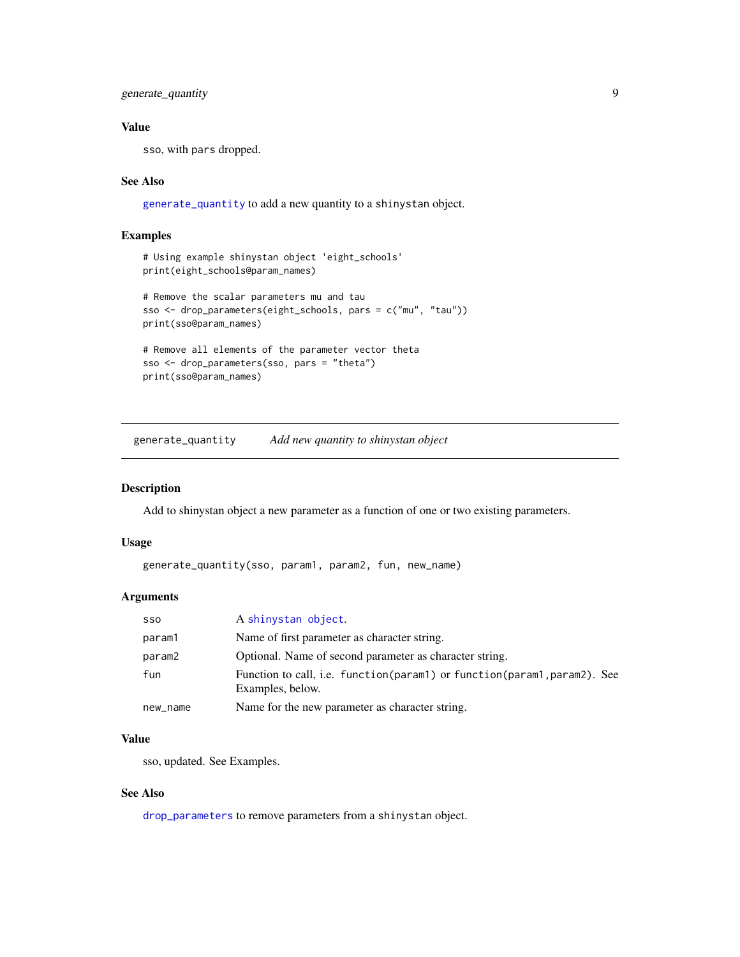<span id="page-8-0"></span>generate\_quantity 9

### Value

sso, with pars dropped.

#### See Also

[generate\\_quantity](#page-8-1) to add a new quantity to a shinystan object.

# Examples

```
# Using example shinystan object 'eight_schools'
print(eight_schools@param_names)
# Remove the scalar parameters mu and tau
sso <- drop_parameters(eight_schools, pars = c("mu", "tau"))
print(sso@param_names)
# Remove all elements of the parameter vector theta
sso <- drop_parameters(sso, pars = "theta")
print(sso@param_names)
```
<span id="page-8-1"></span>generate\_quantity *Add new quantity to shinystan object*

#### Description

Add to shinystan object a new parameter as a function of one or two existing parameters.

#### Usage

generate\_quantity(sso, param1, param2, fun, new\_name)

#### Arguments

| <b>SSO</b> | A shinystan object.                                                                          |
|------------|----------------------------------------------------------------------------------------------|
| param1     | Name of first parameter as character string.                                                 |
| param2     | Optional. Name of second parameter as character string.                                      |
| fun        | Function to call, i.e. function(param1) or function(param1, param2). See<br>Examples, below. |
| new_name   | Name for the new parameter as character string.                                              |

# Value

sso, updated. See Examples.

# See Also

[drop\\_parameters](#page-7-1) to remove parameters from a shinystan object.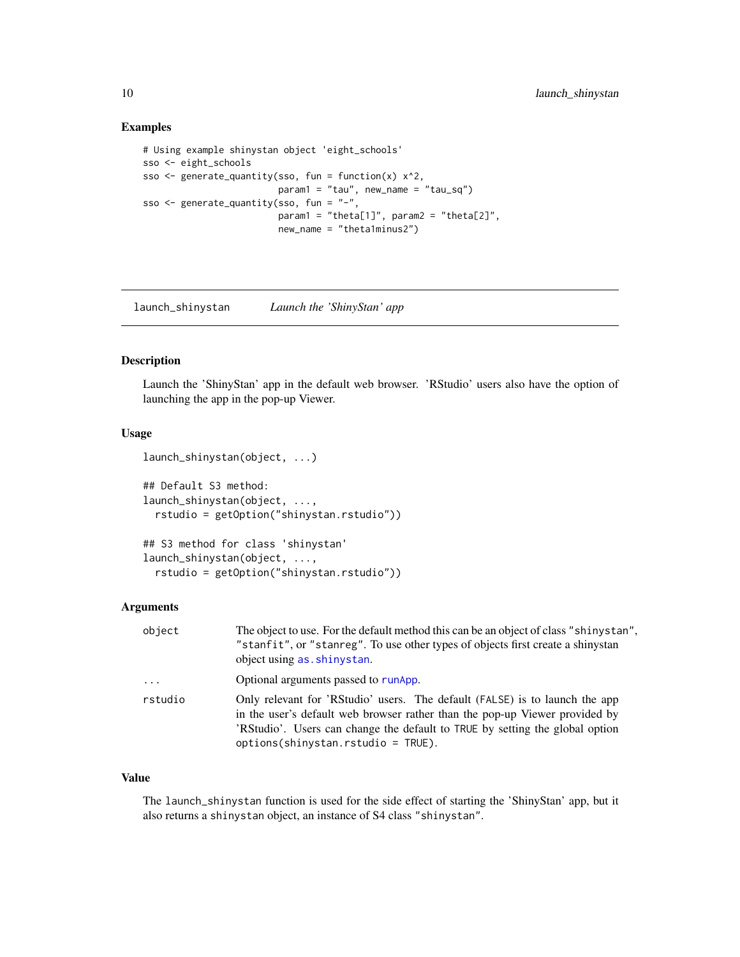#### Examples

```
# Using example shinystan object 'eight_schools'
sso <- eight_schools
sso \leq generate_quantity(sso, fun = function(x) x^2,
                         param1 = "tau", new_name = "tau_sq")
sso \leq generate_quantity(sso, fun = "-",
                         param1 = "theta[1]", param2 = "theta[2]",new_name = "theta1minus2")
```
<span id="page-9-1"></span>launch\_shinystan *Launch the 'ShinyStan' app*

### Description

Launch the 'ShinyStan' app in the default web browser. 'RStudio' users also have the option of launching the app in the pop-up Viewer.

#### Usage

```
launch_shinystan(object, ...)
## Default S3 method:
launch_shinystan(object, ...,
  rstudio = getOption("shinystan.rstudio"))
```

```
## S3 method for class 'shinystan'
launch_shinystan(object, ...,
  rstudio = getOption("shinystan.rstudio"))
```
# Arguments

| object   | The object to use. For the default method this can be an object of class "shinystan".<br>"stanfit", or "stanreg". To use other types of objects first create a shinystan<br>object using as shinystan.                                                                             |
|----------|------------------------------------------------------------------------------------------------------------------------------------------------------------------------------------------------------------------------------------------------------------------------------------|
| $\ddots$ | Optional arguments passed to runApp.                                                                                                                                                                                                                                               |
| rstudio  | Only relevant for 'RStudio' users. The default (FALSE) is to launch the app<br>in the user's default web browser rather than the pop-up Viewer provided by<br>'RStudio'. Users can change the default to TRUE by setting the global option<br>$options(shinystan.rstudio = TRUE).$ |

# Value

The launch\_shinystan function is used for the side effect of starting the 'ShinyStan' app, but it also returns a shinystan object, an instance of S4 class "shinystan".

<span id="page-9-0"></span>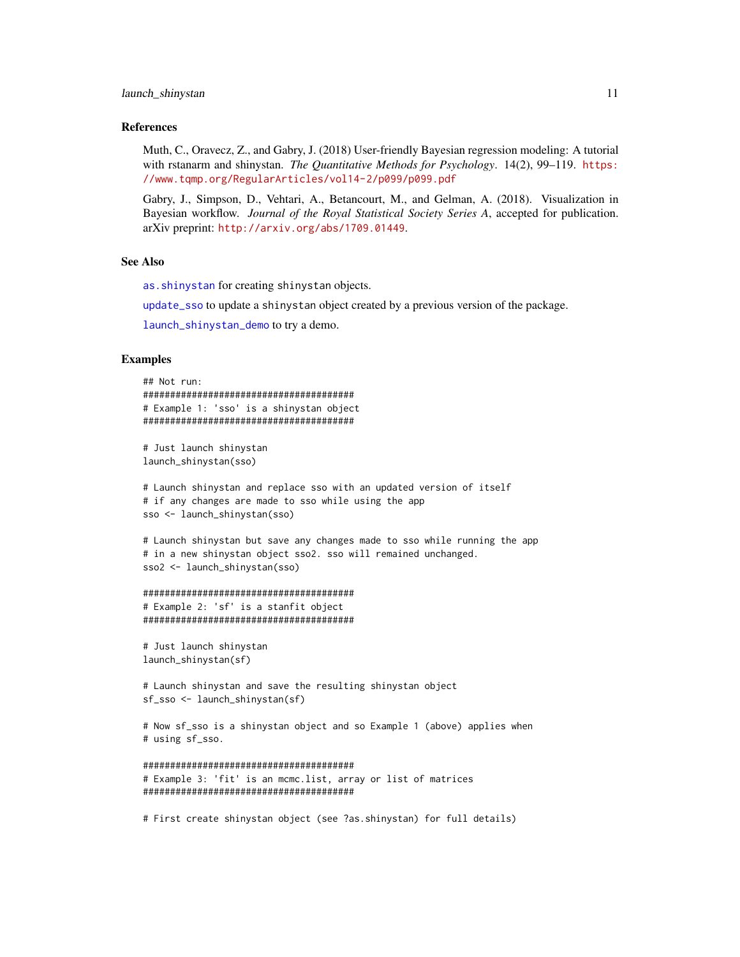#### <span id="page-10-0"></span>References

Muth, C., Oravecz, Z., and Gabry, J. (2018) User-friendly Bayesian regression modeling: A tutorial with rstanarm and shinystan. *The Quantitative Methods for Psychology*. 14(2), 99–119. [https:](https://www.tqmp.org/RegularArticles/vol14-2/p099/p099.pdf) [//www.tqmp.org/RegularArticles/vol14-2/p099/p099.pdf](https://www.tqmp.org/RegularArticles/vol14-2/p099/p099.pdf)

Gabry, J., Simpson, D., Vehtari, A., Betancourt, M., and Gelman, A. (2018). Visualization in Bayesian workflow. *Journal of the Royal Statistical Society Series A*, accepted for publication. arXiv preprint: <http://arxiv.org/abs/1709.01449>.

#### See Also

[as.shinystan](#page-3-1) for creating shinystan objects.

[update\\_sso](#page-16-1) to update a shinystan object created by a previous version of the package.

[launch\\_shinystan\\_demo](#page-11-1) to try a demo.

#### Examples

```
## Not run:
#######################################
# Example 1: 'sso' is a shinystan object
#######################################
```
# Just launch shinystan launch\_shinystan(sso)

# Launch shinystan and replace sso with an updated version of itself # if any changes are made to sso while using the app sso <- launch\_shinystan(sso)

# Launch shinystan but save any changes made to sso while running the app # in a new shinystan object sso2. sso will remained unchanged. sso2 <- launch\_shinystan(sso)

```
#######################################
# Example 2: 'sf' is a stanfit object
#######################################
```

```
# Just launch shinystan
launch_shinystan(sf)
```
# Launch shinystan and save the resulting shinystan object sf\_sso <- launch\_shinystan(sf)

```
# Now sf_sso is a shinystan object and so Example 1 (above) applies when
# using sf_sso.
```

```
#######################################
# Example 3: 'fit' is an mcmc.list, array or list of matrices
#######################################
```
# First create shinystan object (see ?as.shinystan) for full details)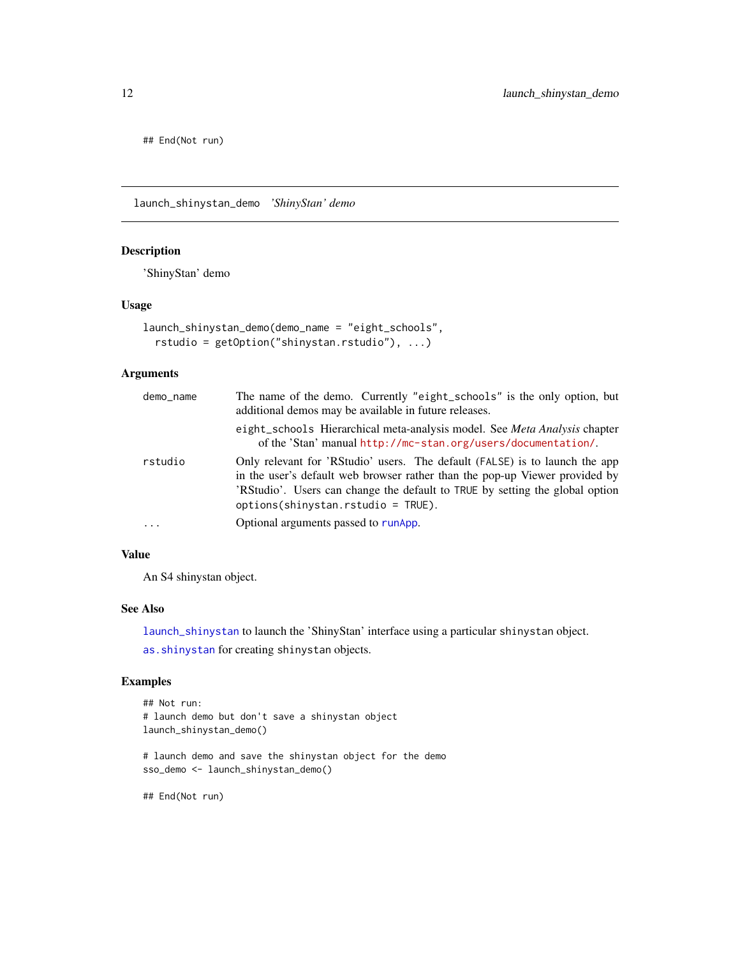<span id="page-11-0"></span>## End(Not run)

<span id="page-11-1"></span>launch\_shinystan\_demo *'ShinyStan' demo*

# <span id="page-11-2"></span>Description

'ShinyStan' demo

# Usage

```
launch_shinystan_demo(demo_name = "eight_schools",
 rstudio = getOption("shinystan.rstudio"), ...)
```
# Arguments

| demo_name | The name of the demo. Currently "eight_schools" is the only option, but<br>additional demos may be available in future releases.                                                                                                                                                   |
|-----------|------------------------------------------------------------------------------------------------------------------------------------------------------------------------------------------------------------------------------------------------------------------------------------|
|           | eight_schools Hierarchical meta-analysis model. See <i>Meta Analysis</i> chapter<br>of the 'Stan' manual http://mc-stan.org/users/documentation/.                                                                                                                                  |
| rstudio   | Only relevant for 'RStudio' users. The default (FALSE) is to launch the app<br>in the user's default web browser rather than the pop-up Viewer provided by<br>'RStudio'. Users can change the default to TRUE by setting the global option<br>$options(shinystan.rstudio = TRUE).$ |
| $\cdot$   | Optional arguments passed to runApp.                                                                                                                                                                                                                                               |

# Value

An S4 shinystan object.

# See Also

[launch\\_shinystan](#page-9-1) to launch the 'ShinyStan' interface using a particular shinystan object.

[as.shinystan](#page-3-1) for creating shinystan objects.

sso\_demo <- launch\_shinystan\_demo()

# Examples

```
## Not run:
# launch demo but don't save a shinystan object
launch_shinystan_demo()
# launch demo and save the shinystan object for the demo
```
## End(Not run)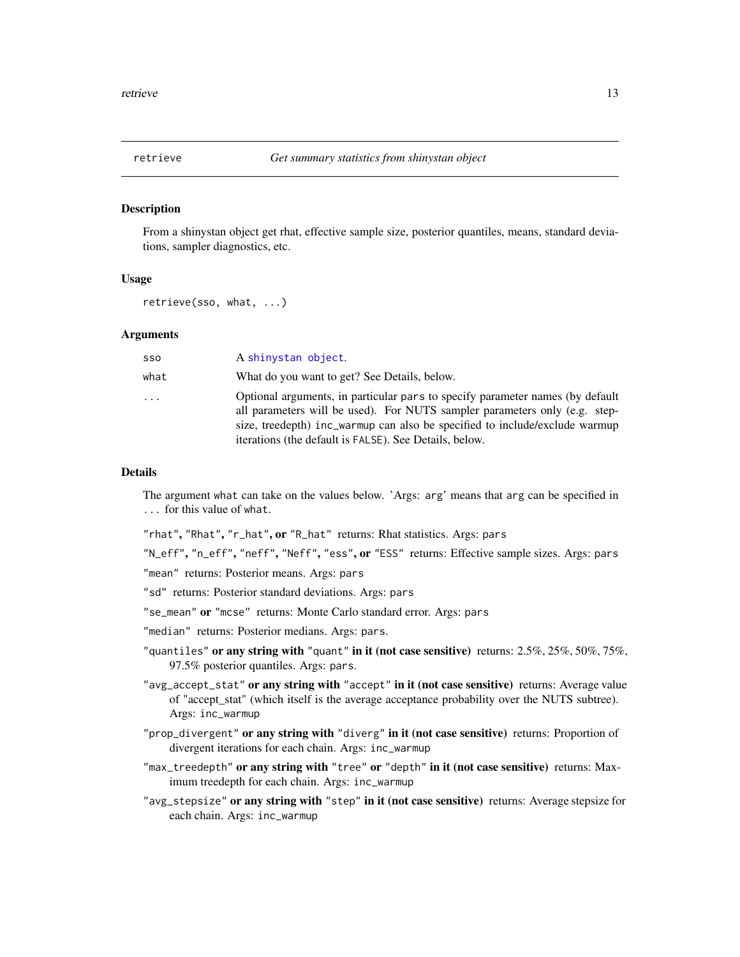<span id="page-12-0"></span>

#### Description

From a shinystan object get rhat, effective sample size, posterior quantiles, means, standard deviations, sampler diagnostics, etc.

#### Usage

```
retrieve(sso, what, ...)
```
#### Arguments

| sso  | A shinystan object.                                                                                                                                                                                                                                                                                  |
|------|------------------------------------------------------------------------------------------------------------------------------------------------------------------------------------------------------------------------------------------------------------------------------------------------------|
| what | What do you want to get? See Details, below.                                                                                                                                                                                                                                                         |
| .    | Optional arguments, in particular pars to specify parameter names (by default<br>all parameters will be used). For NUTS sampler parameters only (e.g. step-<br>size, treedepth) inc_warmup can also be specified to include/exclude warmup<br>iterations (the default is FALSE). See Details, below. |

#### Details

The argument what can take on the values below. 'Args: arg' means that arg can be specified in ... for this value of what.

"rhat", "Rhat", "r\_hat", or "R\_hat" returns: Rhat statistics. Args: pars

"N\_eff", "n\_eff", "neff", "Neff", "ess", or "ESS" returns: Effective sample sizes. Args: pars

"mean" returns: Posterior means. Args: pars

"sd" returns: Posterior standard deviations. Args: pars

"se\_mean" or "mcse" returns: Monte Carlo standard error. Args: pars

"median" returns: Posterior medians. Args: pars.

- "quantiles" or any string with "quant" in it (not case sensitive) returns: 2.5%, 25%, 50%, 75%, 97.5% posterior quantiles. Args: pars.
- "avg\_accept\_stat" or any string with "accept" in it (not case sensitive) returns: Average value of "accept\_stat" (which itself is the average acceptance probability over the NUTS subtree). Args: inc\_warmup
- "prop\_divergent" or any string with "diverg" in it (not case sensitive) returns: Proportion of divergent iterations for each chain. Args: inc\_warmup
- "max\_treedepth" or any string with "tree" or "depth" in it (not case sensitive) returns: Maximum treedepth for each chain. Args: inc\_warmup
- "avg\_stepsize" or any string with "step" in it (not case sensitive) returns: Average stepsize for each chain. Args: inc\_warmup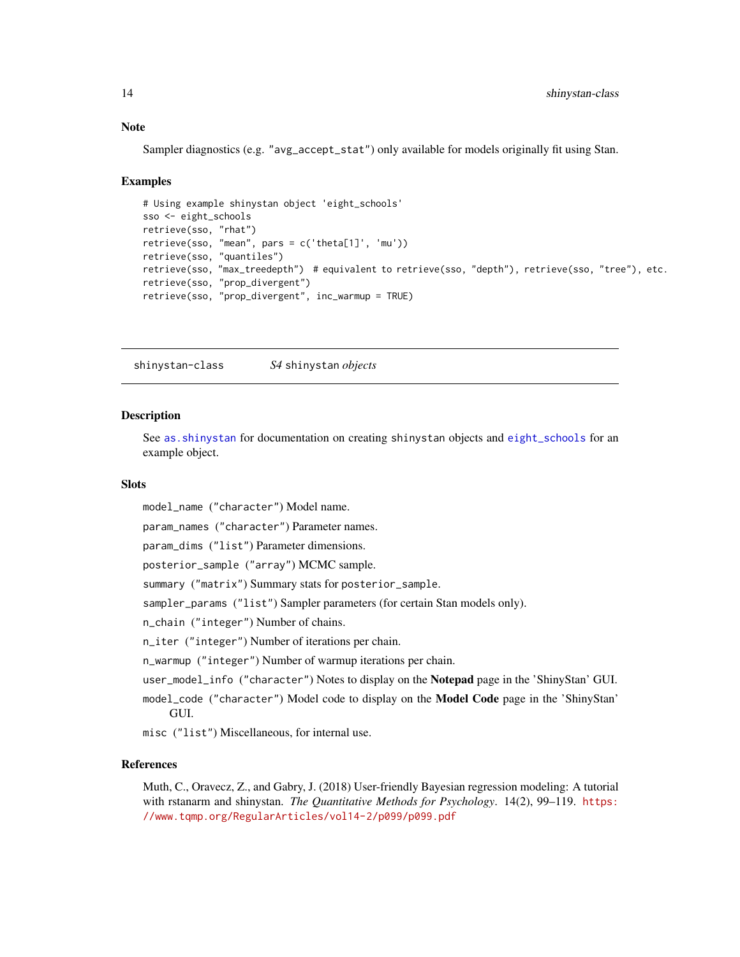Sampler diagnostics (e.g. "avg\_accept\_stat") only available for models originally fit using Stan.

#### Examples

```
# Using example shinystan object 'eight_schools'
sso <- eight_schools
retrieve(sso, "rhat")
retrieve(sso, "mean", pars = c('theta[1]', 'mu'))
retrieve(sso, "quantiles")
retrieve(sso, "max_treedepth") # equivalent to retrieve(sso, "depth"), retrieve(sso, "tree"), etc.
retrieve(sso, "prop_divergent")
retrieve(sso, "prop_divergent", inc_warmup = TRUE)
```
shinystan-class *S4* shinystan *objects*

#### Description

See as. shinystan for documentation on creating shinystan objects and [eight\\_schools](#page-11-2) for an example object.

#### **Slots**

model\_name ("character") Model name.

param\_names ("character") Parameter names.

param\_dims ("list") Parameter dimensions.

posterior\_sample ("array") MCMC sample.

summary ("matrix") Summary stats for posterior\_sample.

sampler\_params ("list") Sampler parameters (for certain Stan models only).

n\_chain ("integer") Number of chains.

n\_iter ("integer") Number of iterations per chain.

n\_warmup ("integer") Number of warmup iterations per chain.

user\_model\_info ("character") Notes to display on the Notepad page in the 'ShinyStan' GUI.

model\_code ("character") Model code to display on the Model Code page in the 'ShinyStan' GUI.

misc ("list") Miscellaneous, for internal use.

#### References

Muth, C., Oravecz, Z., and Gabry, J. (2018) User-friendly Bayesian regression modeling: A tutorial with rstanarm and shinystan. *The Quantitative Methods for Psychology*. 14(2), 99–119. [https:](https://www.tqmp.org/RegularArticles/vol14-2/p099/p099.pdf) [//www.tqmp.org/RegularArticles/vol14-2/p099/p099.pdf](https://www.tqmp.org/RegularArticles/vol14-2/p099/p099.pdf)

<span id="page-13-0"></span>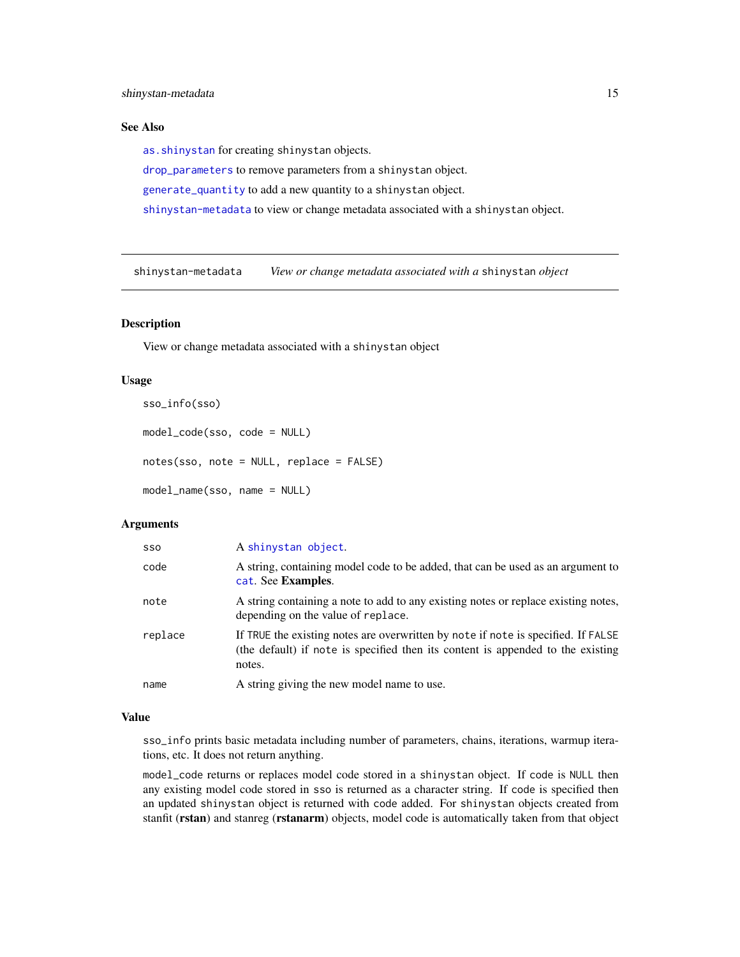#### <span id="page-14-0"></span>See Also

[as.shinystan](#page-3-1) for creating shinystan objects.

[drop\\_parameters](#page-7-1) to remove parameters from a shinystan object.

[generate\\_quantity](#page-8-1) to add a new quantity to a shinystan object.

[shinystan-metadata](#page-14-2) to view or change metadata associated with a shinystan object.

<span id="page-14-2"></span>shinystan-metadata *View or change metadata associated with a* shinystan *object*

## <span id="page-14-1"></span>Description

View or change metadata associated with a shinystan object

#### Usage

```
sso_info(sso)
model_code(sso, code = NULL)
notes(sso, note = NULL, replace = FALSE)
model_name(sso, name = NULL)
```
#### Arguments

| <b>SSO</b> | A shinystan object.                                                                                                                                                            |
|------------|--------------------------------------------------------------------------------------------------------------------------------------------------------------------------------|
| code       | A string, containing model code to be added, that can be used as an argument to<br>cat. See Examples.                                                                          |
| note       | A string containing a note to add to any existing notes or replace existing notes,<br>depending on the value of replace.                                                       |
| replace    | If TRUE the existing notes are overwritten by note if note is specified. If FALSE<br>(the default) if note is specified then its content is appended to the existing<br>notes. |
| name       | A string giving the new model name to use.                                                                                                                                     |

#### Value

sso\_info prints basic metadata including number of parameters, chains, iterations, warmup iterations, etc. It does not return anything.

model\_code returns or replaces model code stored in a shinystan object. If code is NULL then any existing model code stored in sso is returned as a character string. If code is specified then an updated shinystan object is returned with code added. For shinystan objects created from stanfit (rstan) and stanreg (rstanarm) objects, model code is automatically taken from that object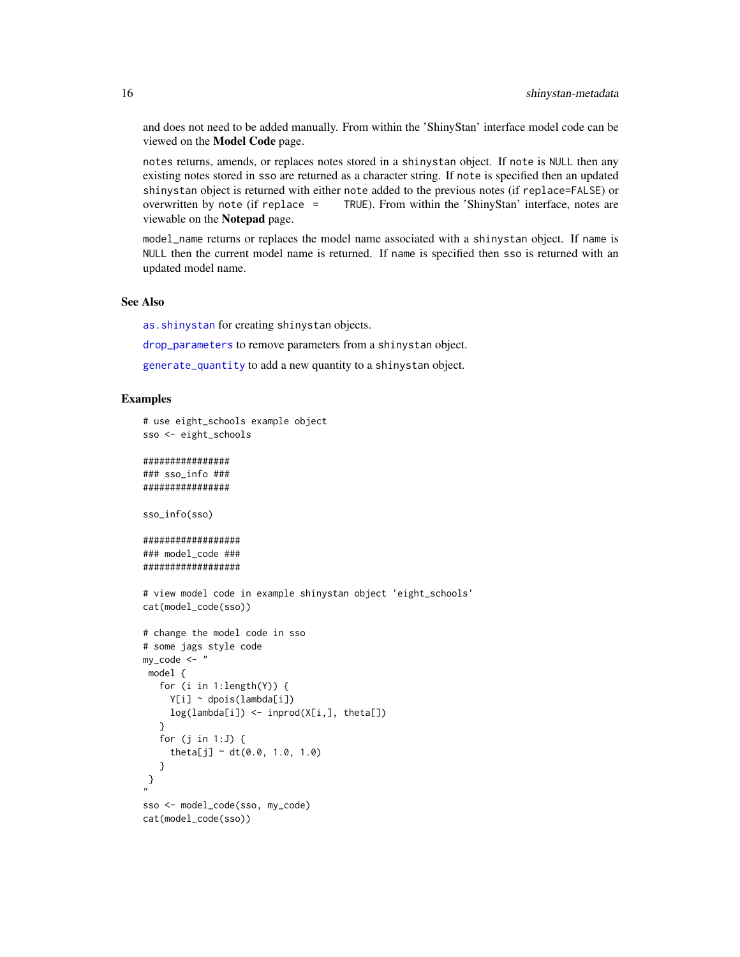and does not need to be added manually. From within the 'ShinyStan' interface model code can be viewed on the Model Code page.

notes returns, amends, or replaces notes stored in a shinystan object. If note is NULL then any existing notes stored in sso are returned as a character string. If note is specified then an updated shinystan object is returned with either note added to the previous notes (if replace=FALSE) or overwritten by note (if replace = TRUE). From within the 'ShinyStan' interface, notes are viewable on the Notepad page.

model\_name returns or replaces the model name associated with a shinystan object. If name is NULL then the current model name is returned. If name is specified then sso is returned with an updated model name.

#### See Also

[as.shinystan](#page-3-1) for creating shinystan objects.

[drop\\_parameters](#page-7-1) to remove parameters from a shinystan object.

[generate\\_quantity](#page-8-1) to add a new quantity to a shinystan object.

#### Examples

```
# use eight_schools example object
sso <- eight_schools
################
### sso_info ###
```
################

sso\_info(sso)

```
##################
### model_code ###
##################
```

```
# view model code in example shinystan object 'eight_schools'
cat(model_code(sso))
```

```
# change the model code in sso
# some jags style code
my\_code < - "
model {
   for (i in 1:length(Y)) {
    Y[i] ~ dpois(lambda[i])
     log(lambda[i]) <- inprod(X[i,], theta[])
   }
  for (j in 1:J) {
     theta[j] \sim dt(0.0, 1.0, 1.0)
   }
}
"
sso <- model_code(sso, my_code)
cat(model_code(sso))
```
<span id="page-15-0"></span>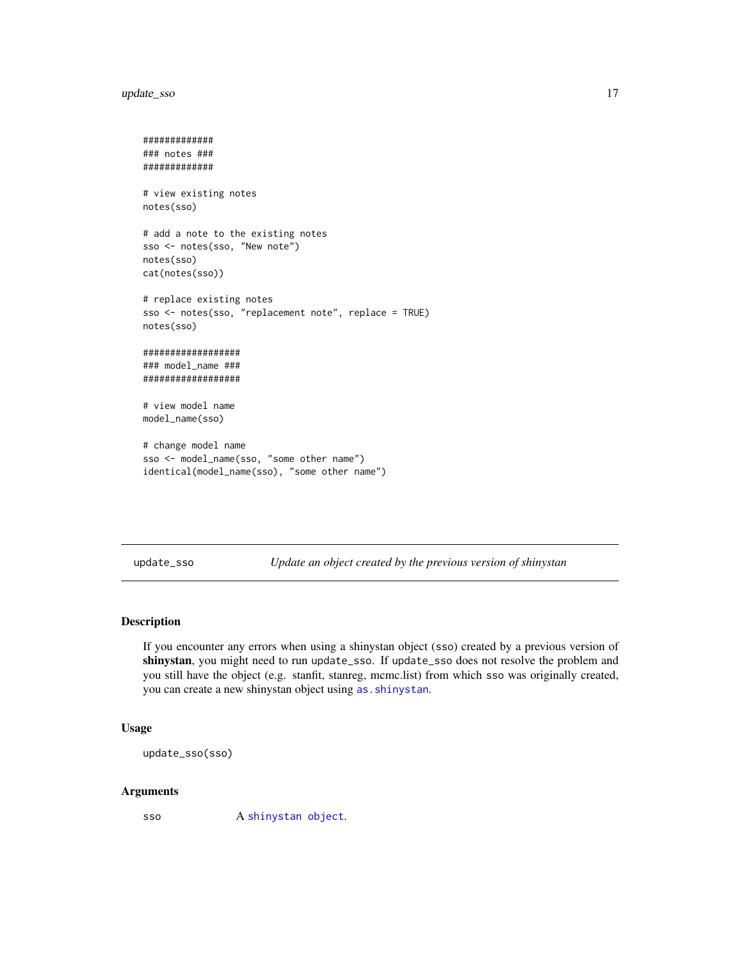# <span id="page-16-0"></span>update\_sso 17

```
#############
### notes ###
#############
# view existing notes
notes(sso)
# add a note to the existing notes
sso <- notes(sso, "New note")
notes(sso)
cat(notes(sso))
# replace existing notes
sso <- notes(sso, "replacement note", replace = TRUE)
notes(sso)
##################
### model_name ###
##################
# view model name
model_name(sso)
# change model name
sso <- model_name(sso, "some other name")
identical(model_name(sso), "some other name")
```
<span id="page-16-1"></span>update\_sso *Update an object created by the previous version of shinystan*

#### Description

If you encounter any errors when using a shinystan object (sso) created by a previous version of shinystan, you might need to run update\_sso. If update\_sso does not resolve the problem and you still have the object (e.g. stanfit, stanreg, mcmc.list) from which sso was originally created, you can create a new shinystan object using as. shinystan.

#### Usage

```
update_sso(sso)
```
#### Arguments

sso A [shinystan object](#page-3-1).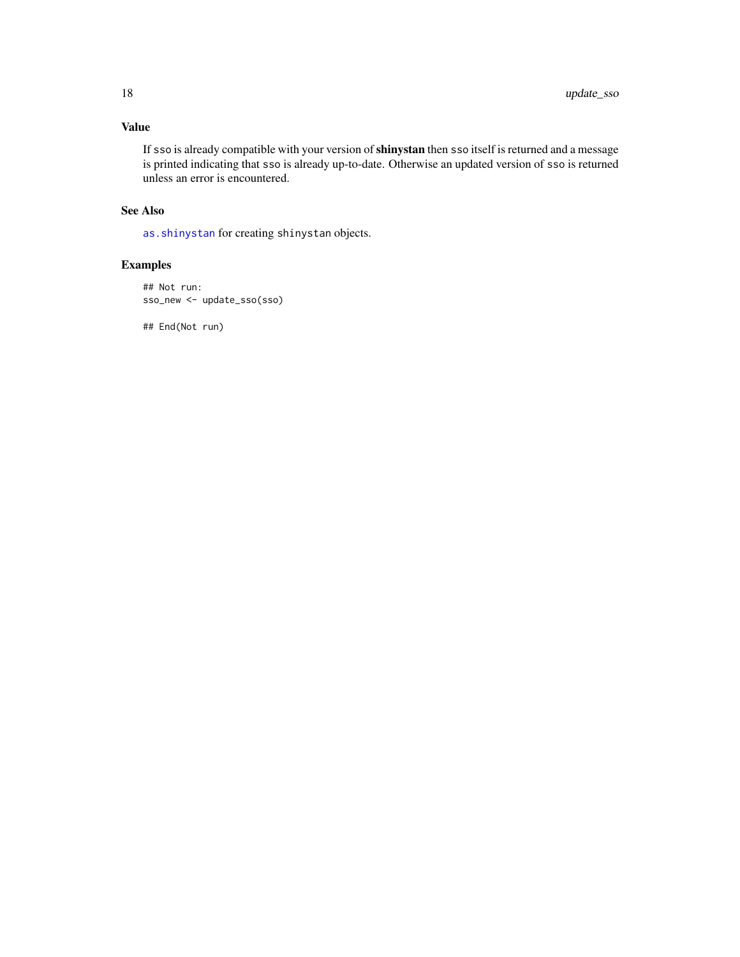# <span id="page-17-0"></span>Value

If sso is already compatible with your version of shinystan then sso itself is returned and a message is printed indicating that sso is already up-to-date. Otherwise an updated version of sso is returned unless an error is encountered.

# See Also

[as.shinystan](#page-3-1) for creating shinystan objects.

# Examples

```
## Not run:
sso_new <- update_sso(sso)
```
## End(Not run)